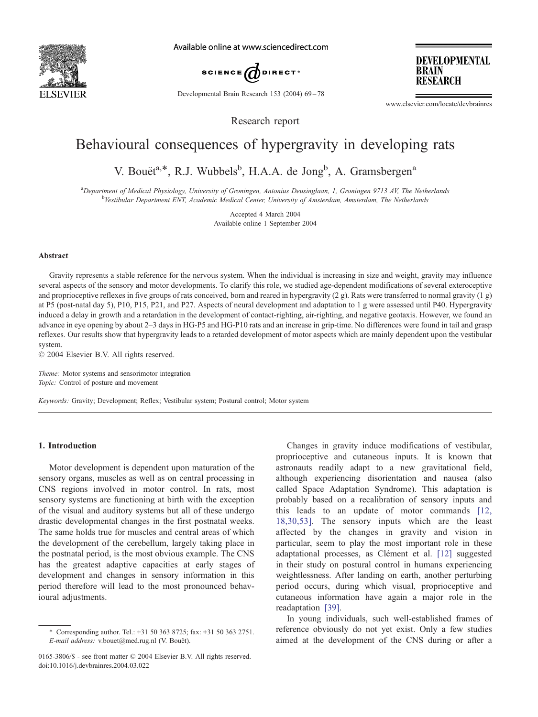

Available online at www.sciencedirect.com



Developmental Brain Research 153 (2004) 69-78

**RESEARCH** 

**DEVELOPMENTAL** 

www.elsevier.com/locate/devbrainres

**BRAIN** 

Research report

# Behavioural consequences of hypergravity in developing rats

V. Bouët<sup>a,\*</sup>, R.J. Wubbels<sup>b</sup>, H.A.A. de Jong<sup>b</sup>, A. Gramsbergen<sup>a</sup>

a Department of Medical Physiology, University of Groningen, Antonius Deusinglaan, 1, Groningen 9713 AV, The Netherlands **b**<br>Vestibular Department ENT, Academic Medical Center, University of Amsterdam, Amsterdam, The Netherlands

> Accepted 4 March 2004 Available online 1 September 2004

### Abstract

Gravity represents a stable reference for the nervous system. When the individual is increasing in size and weight, gravity may influence several aspects of the sensory and motor developments. To clarify this role, we studied age-dependent modifications of several exteroceptive and proprioceptive reflexes in five groups of rats conceived, born and reared in hypergravity (2 g). Rats were transferred to normal gravity (1 g) at P5 (post-natal day 5), P10, P15, P21, and P27. Aspects of neural development and adaptation to 1 g were assessed until P40. Hypergravity induced a delay in growth and a retardation in the development of contact-righting, air-righting, and negative geotaxis. However, we found an advance in eye opening by about 2–3 days in HG-P5 and HG-P10 rats and an increase in grip-time. No differences were found in tail and grasp reflexes. Our results show that hypergravity leads to a retarded development of motor aspects which are mainly dependent upon the vestibular system.

 $© 2004 Elsevier B.V. All rights reserved.$ 

Theme: Motor systems and sensorimotor integration Topic: Control of posture and movement

Keywords: Gravity; Development; Reflex; Vestibular system; Postural control; Motor system

# 1. Introduction

Motor development is dependent upon maturation of the sensory organs, muscles as well as on central processing in CNS regions involved in motor control. In rats, most sensory systems are functioning at birth with the exception of the visual and auditory systems but all of these undergo drastic developmental changes in the first postnatal weeks. The same holds true for muscles and central areas of which the development of the cerebellum, largely taking place in the postnatal period, is the most obvious example. The CNS has the greatest adaptive capacities at early stages of development and changes in sensory information in this period therefore will lead to the most pronounced behavioural adjustments.

Changes in gravity induce modifications of vestibular, proprioceptive and cutaneous inputs. It is known that astronauts readily adapt to a new gravitational field, although experiencing disorientation and nausea (also called Space Adaptation Syndrome). This adaptation is probably based on a recalibration of sensory inputs and this leads to an update of motor commands [\[12,](#page-8-0) 18,30,53]. The sensory inputs which are the least affected by the changes in gravity and vision in particular, seem to play the most important role in these adaptational processes, as Clément et al. [\[12\]](#page-8-0) suggested in their study on postural control in humans experiencing weightlessness. After landing on earth, another perturbing period occurs, during which visual, proprioceptive and cutaneous information have again a major role in the readaptation [\[39\].](#page-9-0)

In young individuals, such well-established frames of reference obviously do not yet exist. Only a few studies aimed at the development of the CNS during or after a

<sup>\*</sup> Corresponding author. Tel.: +31 50 363 8725; fax: +31 50 363 2751. E-mail address: v.bouet@med.rug.nl (V. Bouët).

<sup>0165-3806/\$ -</sup> see front matter © 2004 Elsevier B.V. All rights reserved. doi:10.1016/j.devbrainres.2004.03.022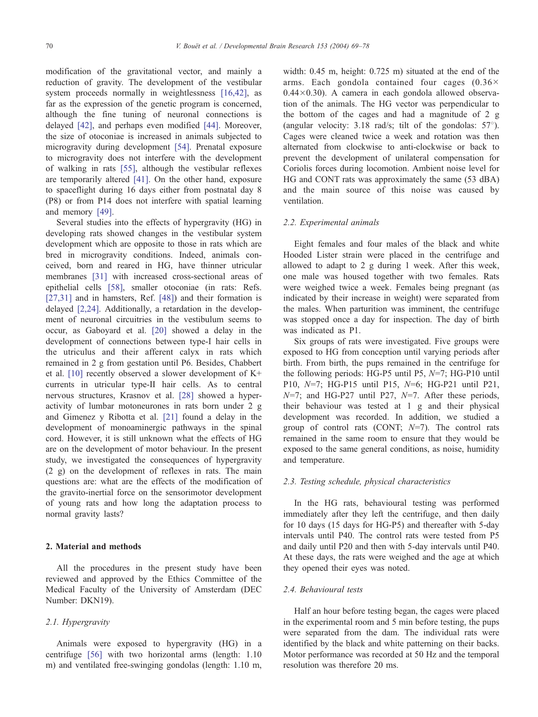modification of the gravitational vector, and mainly a reduction of gravity. The development of the vestibular system proceeds normally in weightlessness [\[16,42\],](#page-8-0) as far as the expression of the genetic program is concerned, although the fine tuning of neuronal connections is delayed [\[42\]](#page-9-0), and perhaps even modified [\[44\].](#page-9-0) Moreover, the size of otoconiae is increased in animals subjected to microgravity during development [\[54\].](#page-9-0) Prenatal exposure to microgravity does not interfere with the development of walking in rats [\[55\],](#page-9-0) although the vestibular reflexes are temporarily altered [\[41\].](#page-9-0) On the other hand, exposure to spaceflight during 16 days either from postnatal day 8 (P8) or from P14 does not interfere with spatial learning and memory [\[49\].](#page-9-0)

Several studies into the effects of hypergravity (HG) in developing rats showed changes in the vestibular system development which are opposite to those in rats which are bred in microgravity conditions. Indeed, animals conceived, born and reared in HG, have thinner utricular membranes [\[31\]](#page-8-0) with increased cross-sectional areas of epithelial cells [\[58\],](#page-9-0) smaller otoconiae (in rats: Refs. [\[27,31\]](#page-8-0) and in hamsters, Ref. [\[48\]\)](#page-9-0) and their formation is delayed [\[2,24\].](#page-8-0) Additionally, a retardation in the development of neuronal circuitries in the vestibulum seems to occur, as Gaboyard et al. [\[20\]](#page-8-0) showed a delay in the development of connections between type-I hair cells in the utriculus and their afferent calyx in rats which remained in 2 g from gestation until P6. Besides, Chabbert et al. [\[10\]](#page-8-0) recently observed a slower development of K+ currents in utricular type-II hair cells. As to central nervous structures, Krasnov et al. [\[28\]](#page-8-0) showed a hyperactivity of lumbar motoneurones in rats born under 2 g and Gimenez y Ribotta et al. [\[21\]](#page-8-0) found a delay in the development of monoaminergic pathways in the spinal cord. However, it is still unknown what the effects of HG are on the development of motor behaviour. In the present study, we investigated the consequences of hypergravity (2 g) on the development of reflexes in rats. The main questions are: what are the effects of the modification of the gravito-inertial force on the sensorimotor development of young rats and how long the adaptation process to normal gravity lasts?

## 2. Material and methods

All the procedures in the present study have been reviewed and approved by the Ethics Committee of the Medical Faculty of the University of Amsterdam (DEC Number: DKN19).

## 2.1. Hypergravity

Animals were exposed to hypergravity (HG) in a centrifuge [\[56\]](#page-9-0) with two horizontal arms (length: 1.10 m) and ventilated free-swinging gondolas (length: 1.10 m, width: 0.45 m, height: 0.725 m) situated at the end of the arms. Each gondola contained four cages  $(0.36 \times$  $0.44\times0.30$ . A camera in each gondola allowed observation of the animals. The HG vector was perpendicular to the bottom of the cages and had a magnitude of 2 g (angular velocity: 3.18 rad/s; tilt of the gondolas:  $57^{\circ}$ ). Cages were cleaned twice a week and rotation was then alternated from clockwise to anti-clockwise or back to prevent the development of unilateral compensation for Coriolis forces during locomotion. Ambient noise level for HG and CONT rats was approximately the same (53 dBA) and the main source of this noise was caused by ventilation.

## 2.2. Experimental animals

Eight females and four males of the black and white Hooded Lister strain were placed in the centrifuge and allowed to adapt to 2 g during 1 week. After this week, one male was housed together with two females. Rats were weighed twice a week. Females being pregnant (as indicated by their increase in weight) were separated from the males. When parturition was imminent, the centrifuge was stopped once a day for inspection. The day of birth was indicated as P1.

Six groups of rats were investigated. Five groups were exposed to HG from conception until varying periods after birth. From birth, the pups remained in the centrifuge for the following periods: HG-P5 until P5,  $N=7$ ; HG-P10 until P10, N=7; HG-P15 until P15, N=6; HG-P21 until P21,  $N=7$ ; and HG-P27 until P27,  $N=7$ . After these periods, their behaviour was tested at 1 g and their physical development was recorded. In addition, we studied a group of control rats (CONT;  $N=7$ ). The control rats remained in the same room to ensure that they would be exposed to the same general conditions, as noise, humidity and temperature.

## 2.3. Testing schedule, physical characteristics

In the HG rats, behavioural testing was performed immediately after they left the centrifuge, and then daily for 10 days (15 days for HG-P5) and thereafter with 5-day intervals until P40. The control rats were tested from P5 and daily until P20 and then with 5-day intervals until P40. At these days, the rats were weighed and the age at which they opened their eyes was noted.

## 2.4. Behavioural tests

Half an hour before testing began, the cages were placed in the experimental room and 5 min before testing, the pups were separated from the dam. The individual rats were identified by the black and white patterning on their backs. Motor performance was recorded at 50 Hz and the temporal resolution was therefore 20 ms.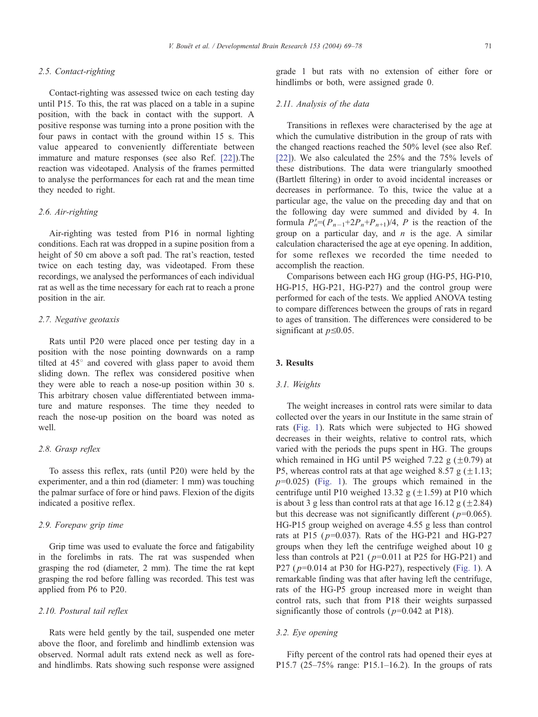# 2.5. Contact-righting

Contact-righting was assessed twice on each testing day until P15. To this, the rat was placed on a table in a supine position, with the back in contact with the support. A positive response was turning into a prone position with the four paws in contact with the ground within 15 s. This value appeared to conveniently differentiate between immature and mature responses (see also Ref. [\[22\]\)](#page-8-0).The reaction was videotaped. Analysis of the frames permitted to analyse the performances for each rat and the mean time they needed to right.

# 2.6. Air-righting

Air-righting was tested from P16 in normal lighting conditions. Each rat was dropped in a supine position from a height of 50 cm above a soft pad. The rat's reaction, tested twice on each testing day, was videotaped. From these recordings, we analysed the performances of each individual rat as well as the time necessary for each rat to reach a prone position in the air.

# 2.7. Negative geotaxis

Rats until P20 were placed once per testing day in a position with the nose pointing downwards on a ramp tilted at  $45^{\circ}$  and covered with glass paper to avoid them sliding down. The reflex was considered positive when they were able to reach a nose-up position within 30 s. This arbitrary chosen value differentiated between immature and mature responses. The time they needed to reach the nose-up position on the board was noted as well.

# 2.8. Grasp reflex

To assess this reflex, rats (until P20) were held by the experimenter, and a thin rod (diameter: 1 mm) was touching the palmar surface of fore or hind paws. Flexion of the digits indicated a positive reflex.

# 2.9. Forepaw grip time

Grip time was used to evaluate the force and fatigability in the forelimbs in rats. The rat was suspended when grasping the rod (diameter, 2 mm). The time the rat kept grasping the rod before falling was recorded. This test was applied from P6 to P20.

# 2.10. Postural tail reflex

Rats were held gently by the tail, suspended one meter above the floor, and forelimb and hindlimb extension was observed. Normal adult rats extend neck as well as foreand hindlimbs. Rats showing such response were assigned grade 1 but rats with no extension of either fore or hindlimbs or both, were assigned grade 0.

# 2.11. Analysis of the data

Transitions in reflexes were characterised by the age at which the cumulative distribution in the group of rats with the changed reactions reached the 50% level (see also Ref. [\[22\]\)](#page-8-0). We also calculated the 25% and the 75% levels of these distributions. The data were triangularly smoothed (Bartlett filtering) in order to avoid incidental increases or decreases in performance. To this, twice the value at a particular age, the value on the preceding day and that on the following day were summed and divided by 4. In formula  $P'_n = (P_{n-1} + 2P_n + P_{n+1})/4$ , *P* is the reaction of the group on a particular day, and  $n$  is the age. A similar calculation characterised the age at eye opening. In addition, for some reflexes we recorded the time needed to accomplish the reaction.

Comparisons between each HG group (HG-P5, HG-P10, HG-P15, HG-P21, HG-P27) and the control group were performed for each of the tests. We applied ANOVA testing to compare differences between the groups of rats in regard to ages of transition. The differences were considered to be significant at  $p\leq0.05$ .

### 3. Results

#### 3.1. Weights

The weight increases in control rats were similar to data collected over the years in our Institute in the same strain of rats ([Fig. 1\)](#page-3-0). Rats which were subjected to HG showed decreases in their weights, relative to control rats, which varied with the periods the pups spent in HG. The groups which remained in HG until P5 weighed 7.22 g  $(\pm 0.79)$  at P5, whereas control rats at that age weighed 8.57 g  $(\pm 1.13;$  $p=0.025$ ) ([Fig. 1\)](#page-3-0). The groups which remained in the centrifuge until P10 weighed 13.32 g  $(\pm 1.59)$  at P10 which is about 3 g less than control rats at that age 16.12 g  $(\pm 2.84)$ but this decrease was not significantly different ( $p=0.065$ ). HG-P15 group weighed on average 4.55 g less than control rats at P15 ( $p=0.037$ ). Rats of the HG-P21 and HG-P27 groups when they left the centrifuge weighed about 10 g less than controls at P21 ( $p=0.011$  at P25 for HG-P21) and P27 ( $p=0.014$  at P30 for HG-P27), respectively ([Fig. 1\)](#page-3-0). A remarkable finding was that after having left the centrifuge, rats of the HG-P5 group increased more in weight than control rats, such that from P18 their weights surpassed significantly those of controls ( $p=0.042$  at P18).

#### 3.2. Eye opening

Fifty percent of the control rats had opened their eyes at P15.7 (25–75% range: P15.1–16.2). In the groups of rats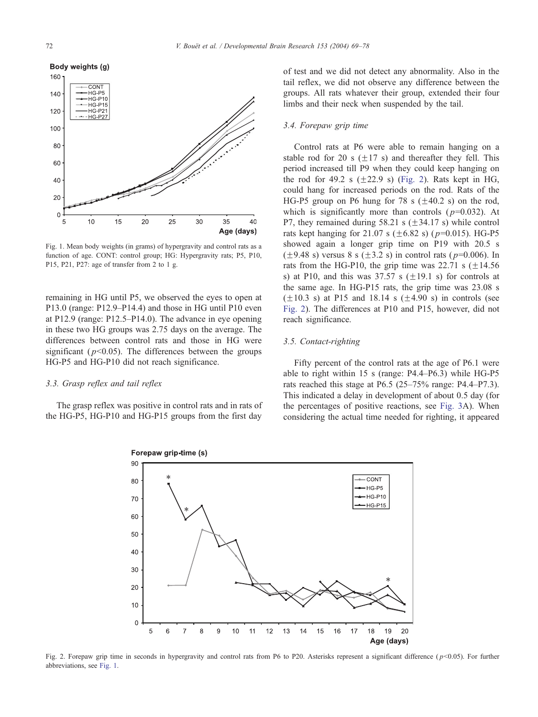<span id="page-3-0"></span>

Fig. 1. Mean body weights (in grams) of hypergravity and control rats as a function of age. CONT: control group; HG: Hypergravity rats; P5, P10, P15, P21, P27: age of transfer from 2 to 1 g.

remaining in HG until P5, we observed the eyes to open at P13.0 (range: P12.9–P14.4) and those in HG until P10 even at P12.9 (range: P12.5–P14.0). The advance in eye opening in these two HG groups was 2.75 days on the average. The differences between control rats and those in HG were significant ( $p<0.05$ ). The differences between the groups HG-P5 and HG-P10 did not reach significance.

#### 3.3. Grasp reflex and tail reflex

The grasp reflex was positive in control rats and in rats of the HG-P5, HG-P10 and HG-P15 groups from the first day

of test and we did not detect any abnormality. Also in the tail reflex, we did not observe any difference between the groups. All rats whatever their group, extended their four limbs and their neck when suspended by the tail.

## 3.4. Forepaw grip time

Control rats at P6 were able to remain hanging on a stable rod for 20 s  $(+17 \text{ s})$  and thereafter they fell. This period increased till P9 when they could keep hanging on the rod for 49.2 s  $(\pm 22.9 \text{ s})$  (Fig. 2). Rats kept in HG, could hang for increased periods on the rod. Rats of the HG-P5 group on P6 hung for 78 s  $(\pm 40.2 \text{ s})$  on the rod, which is significantly more than controls ( $p=0.032$ ). At P7, they remained during 58.21 s  $(\pm 34.17 \text{ s})$  while control rats kept hanging for 21.07 s ( $\pm$ 6.82 s) ( $p$ =0.015). HG-P5 showed again a longer grip time on P19 with 20.5 s  $(\pm 9.48 \text{ s})$  versus 8 s  $(\pm 3.2 \text{ s})$  in control rats (  $p=0.006$ ). In rats from the HG-P10, the grip time was 22.71 s  $(\pm 14.56$ s) at P10, and this was  $37.57$  s ( $\pm 19.1$  s) for controls at the same age. In HG-P15 rats, the grip time was 23.08 s  $(\pm 10.3 \text{ s})$  at P15 and 18.14 s  $(\pm 4.90 \text{ s})$  in controls (see Fig. 2). The differences at P10 and P15, however, did not reach significance.

### 3.5. Contact-righting

Fifty percent of the control rats at the age of P6.1 were able to right within 15 s (range: P4.4–P6.3) while HG-P5 rats reached this stage at P6.5 (25–75% range: P4.4–P7.3). This indicated a delay in development of about 0.5 day (for the percentages of positive reactions, see [Fig. 3A](#page-4-0)). When considering the actual time needed for righting, it appeared



Fig. 2. Forepaw grip time in seconds in hypergravity and control rats from P6 to P20. Asterisks represent a significant difference ( $p<0.05$ ). For further abbreviations, see Fig. 1.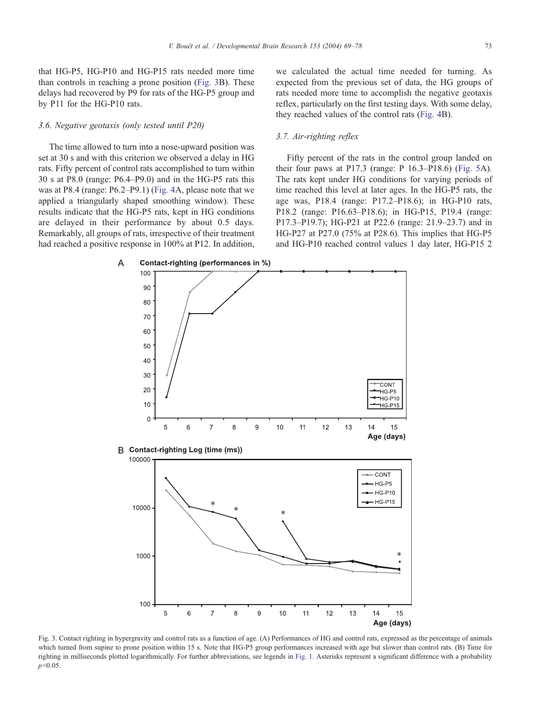<span id="page-4-0"></span>that HG-P5, HG-P10 and HG-P15 rats needed more time than controls in reaching a prone position (Fig. 3B). These delays had recovered by P9 for rats of the HG-P5 group and by P11 for the HG-P10 rats.

### 3.6. Negative geotaxis (only tested until P20)

The time allowed to turn into a nose-upward position was set at 30 s and with this criterion we observed a delay in HG rats. Fifty percent of control rats accomplished to turn within 30 s at P8.0 (range: P6.4–P9.0) and in the HG-P5 rats this was at P8.4 (range: P6.2–P9.1) ([Fig. 4A](#page-5-0), please note that we applied a triangularly shaped smoothing window). These results indicate that the HG-P5 rats, kept in HG conditions are delayed in their performance by about 0.5 days. Remarkably, all groups of rats, irrespective of their treatment had reached a positive response in 100% at P12. In addition,

we calculated the actual time needed for turning. As expected from the previous set of data, the HG groups of rats needed more time to accomplish the negative geotaxis reflex, particularly on the first testing days. With some delay, they reached values of the control rats ([Fig. 4B](#page-5-0)).

# 3.7. Air-righting reflex

Fifty percent of the rats in the control group landed on their four paws at P17.3 (range: P 16.3–P18.6) ([Fig. 5A](#page-6-0)). The rats kept under HG conditions for varying periods of time reached this level at later ages. In the HG-P5 rats, the age was, P18.4 (range: P17.2–P18.6); in HG-P10 rats, P18.2 (range: P16.63–P18.6); in HG-P15, P19.4 (range: P17.3–P19.7); HG-P21 at P22.6 (range: 21.9–23.7) and in HG-P27 at P27.0 (75% at P28.6). This implies that HG-P5 and HG-P10 reached control values 1 day later, HG-P15 2



Fig. 3. Contact righting in hypergravity and control rats as a function of age. (A) Performances of HG and control rats, expressed as the percentage of animals which turned from supine to prone position within 15 s. Note that HG-P5 group performances increased with age but slower than control rats. (B) Time for righting in milliseconds plotted logarithmically. For further abbreviations, see legends in [Fig. 1.](#page-3-0) Asterisks represent a significant difference with a probability  $p<0.05$ .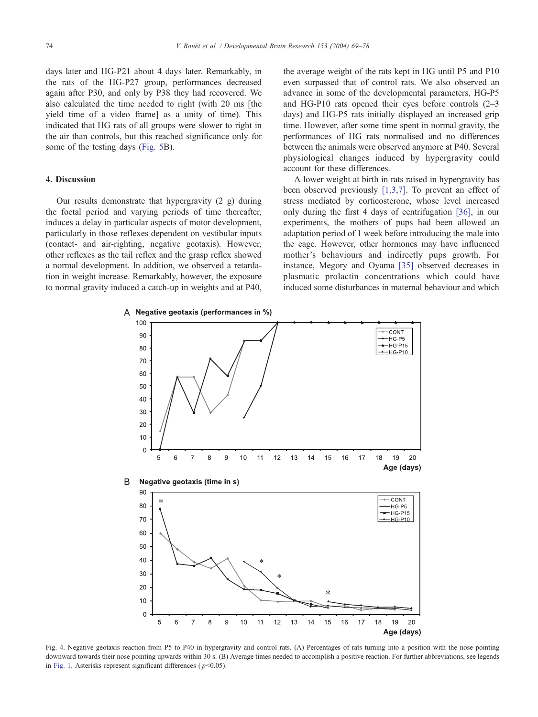<span id="page-5-0"></span>days later and HG-P21 about 4 days later. Remarkably, in the rats of the HG-P27 group, performances decreased again after P30, and only by P38 they had recovered. We also calculated the time needed to right (with 20 ms [the yield time of a video frame] as a unity of time). This indicated that HG rats of all groups were slower to right in the air than controls, but this reached significance only for some of the testing days ([Fig. 5B](#page-6-0)).

## 4. Discussion

Our results demonstrate that hypergravity  $(2 \text{ g})$  during the foetal period and varying periods of time thereafter, induces a delay in particular aspects of motor development, particularly in those reflexes dependent on vestibular inputs (contact- and air-righting, negative geotaxis). However, other reflexes as the tail reflex and the grasp reflex showed a normal development. In addition, we observed a retardation in weight increase. Remarkably, however, the exposure to normal gravity induced a catch-up in weights and at P40,

the average weight of the rats kept in HG until P5 and P10 even surpassed that of control rats. We also observed an advance in some of the developmental parameters, HG-P5 and HG-P10 rats opened their eyes before controls (2–3 days) and HG-P5 rats initially displayed an increased grip time. However, after some time spent in normal gravity, the performances of HG rats normalised and no differences between the animals were observed anymore at P40. Several physiological changes induced by hypergravity could account for these differences.

A lower weight at birth in rats raised in hypergravity has been observed previously [\[1,3,7\].](#page-8-0) To prevent an effect of stress mediated by corticosterone, whose level increased only during the first 4 days of centrifugation [\[36\],](#page-9-0) in our experiments, the mothers of pups had been allowed an adaptation period of 1 week before introducing the male into the cage. However, other hormones may have influenced mother's behaviours and indirectly pups growth. For instance, Megory and Oyama [\[35\]](#page-9-0) observed decreases in plasmatic prolactin concentrations which could have induced some disturbances in maternal behaviour and which



Fig. 4. Negative geotaxis reaction from P5 to P40 in hypergravity and control rats. (A) Percentages of rats turning into a position with the nose pointing downward towards their nose pointing upwards within 30 s. (B) Average times needed to accomplish a positive reaction. For further abbreviations, see legends in [Fig. 1.](#page-3-0) Asterisks represent significant differences ( $p<0.05$ ).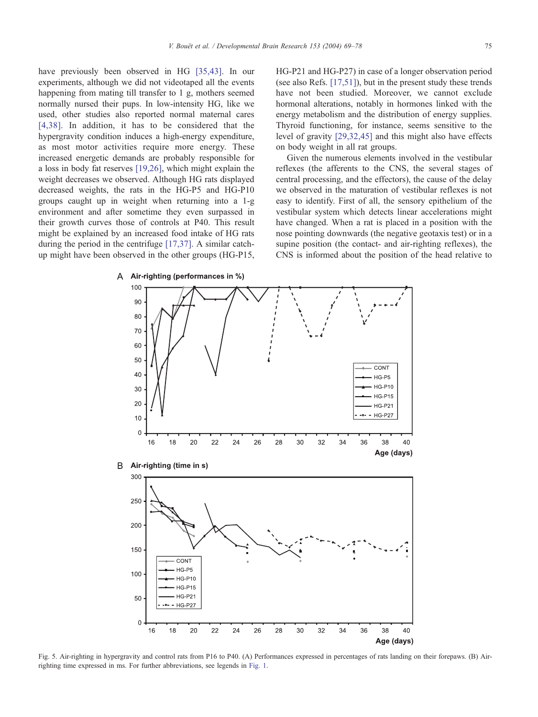<span id="page-6-0"></span>have previously been observed in HG [\[35,43\].](#page-9-0) In our experiments, although we did not videotaped all the events happening from mating till transfer to 1 g, mothers seemed normally nursed their pups. In low-intensity HG, like we used, other studies also reported normal maternal cares [\[4,38\].](#page-8-0) In addition, it has to be considered that the hypergravity condition induces a high-energy expenditure, as most motor activities require more energy. These increased energetic demands are probably responsible for a loss in body fat reserves [\[19,26\],](#page-8-0) which might explain the weight decreases we observed. Although HG rats displayed decreased weights, the rats in the HG-P5 and HG-P10 groups caught up in weight when returning into a 1-g environment and after sometime they even surpassed in their growth curves those of controls at P40. This result might be explained by an increased food intake of HG rats during the period in the centrifuge [\[17,37\].](#page-8-0) A similar catchup might have been observed in the other groups (HG-P15,

HG-P21 and HG-P27) in case of a longer observation period (see also Refs. [\[17,51\]\)](#page-8-0), but in the present study these trends have not been studied. Moreover, we cannot exclude hormonal alterations, notably in hormones linked with the energy metabolism and the distribution of energy supplies. Thyroid functioning, for instance, seems sensitive to the level of gravity [\[29,32,45\]](#page-8-0) and this might also have effects on body weight in all rat groups.

Given the numerous elements involved in the vestibular reflexes (the afferents to the CNS, the several stages of central processing, and the effectors), the cause of the delay we observed in the maturation of vestibular reflexes is not easy to identify. First of all, the sensory epithelium of the vestibular system which detects linear accelerations might have changed. When a rat is placed in a position with the nose pointing downwards (the negative geotaxis test) or in a supine position (the contact- and air-righting reflexes), the CNS is informed about the position of the head relative to







Fig. 5. Air-righting in hypergravity and control rats from P16 to P40. (A) Performances expressed in percentages of rats landing on their forepaws. (B) Airrighting time expressed in ms. For further abbreviations, see legends in [Fig. 1.](#page-3-0)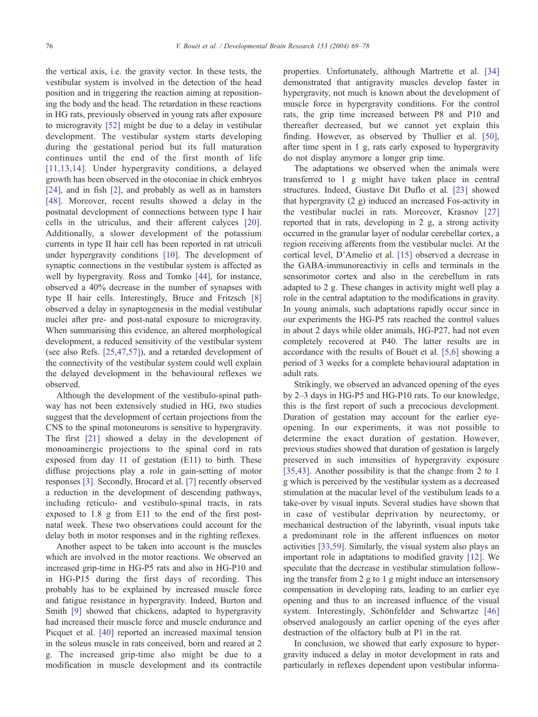the vertical axis, i.e. the gravity vector. In these tests, the vestibular system is involved in the detection of the head position and in triggering the reaction aiming at repositioning the body and the head. The retardation in these reactions in HG rats, previously observed in young rats after exposure to microgravity [\[52\]](#page-9-0) might be due to a delay in vestibular development. The vestibular system starts developing during the gestational period but its full maturation continues until the end of the first month of life [\[11,13,14\].](#page-8-0) Under hypergravity conditions, a delayed growth has been observed in the otoconiae in chick embryos [\[24\]](#page-8-0), and in fish [\[2\],](#page-8-0) and probably as well as in hamsters [\[48\].](#page-9-0) Moreover, recent results showed a delay in the postnatal development of connections between type I hair cells in the utriculus, and their afferent calyces [\[20\].](#page-8-0) Additionally, a slower development of the potassium currents in type II hair cell has been reported in rat utriculi under hypergravity conditions [\[10\].](#page-8-0) The development of synaptic connections in the vestibular system is affected as well by hypergravity. Ross and Tomko [\[44\],](#page-9-0) for instance, observed a 40% decrease in the number of synapses with type II hair cells. Interestingly, Bruce and Fritzsch [\[8\]](#page-8-0) observed a delay in synaptogenesis in the medial vestibular nuclei after pre- and post-natal exposure to microgravity. When summarising this evidence, an altered morphological development, a reduced sensitivity of the vestibular system (see also Refs. [\[25,47,57\]\)](#page-8-0), and a retarded development of the connectivity of the vestibular system could well explain the delayed development in the behavioural reflexes we observed.

Although the development of the vestibulo-spinal pathway has not been extensively studied in HG, two studies suggest that the development of certain projections from the CNS to the spinal motoneurons is sensitive to hypergravity. The first [\[21\]](#page-8-0) showed a delay in the development of monoaminergic projections to the spinal cord in rats exposed from day 11 of gestation (E11) to birth. These diffuse projections play a role in gain-setting of motor responses [\[3\].](#page-8-0) Secondly, Brocard et al. [\[7\]](#page-8-0) recently observed a reduction in the development of descending pathways, including reticulo- and vestibulo-spinal tracts, in rats exposed to 1.8 g from E11 to the end of the first postnatal week. These two observations could account for the delay both in motor responses and in the righting reflexes.

Another aspect to be taken into account is the muscles which are involved in the motor reactions. We observed an increased grip-time in HG-P5 rats and also in HG-P10 and in HG-P15 during the first days of recording. This probably has to be explained by increased muscle force and fatigue resistance in hypergravity. Indeed, Burton and Smith [\[9\]](#page-8-0) showed that chickens, adapted to hypergravity had increased their muscle force and muscle endurance and Picquet et al. [\[40\]](#page-9-0) reported an increased maximal tension in the soleus muscle in rats conceived, born and reared at 2 g. The increased grip-time also might be due to a modification in muscle development and its contractile properties. Unfortunately, although Martrette et al. [\[34\]](#page-8-0) demonstrated that antigravity muscles develop faster in hypergravity, not much is known about the development of muscle force in hypergravity conditions. For the control rats, the grip time increased between P8 and P10 and thereafter decreased, but we cannot yet explain this finding. However, as observed by Thullier et al. [\[50\],](#page-9-0) after time spent in 1 g, rats early exposed to hypergravity do not display anymore a longer grip time.

The adaptations we observed when the animals were transferred to 1 g might have taken place in central structures. Indeed, Gustave Dit Duflo et al. [\[23\]](#page-8-0) showed that hypergravity (2 g) induced an increased Fos-activity in the vestibular nuclei in rats. Moreover, Krasnov [\[27\]](#page-8-0) reported that in rats, developing in 2 g, a strong activity occurred in the granular layer of nodular cerebellar cortex, a region receiving afferents from the vestibular nuclei. At the cortical level, D'Amelio et al. [\[15\]](#page-8-0) observed a decrease in the GABA-immunoreactiviy in cells and terminals in the sensorimotor cortex and also in the cerebellum in rats adapted to 2 g. These changes in activity might well play a role in the central adaptation to the modifications in gravity. In young animals, such adaptations rapidly occur since in our experiments the HG-P5 rats reached the control values in about 2 days while older animals, HG-P27, had not even completely recovered at P40. The latter results are in accordance with the results of Bouët et al. [\[5,6\]](#page-8-0) showing a period of 3 weeks for a complete behavioural adaptation in adult rats.

Strikingly, we observed an advanced opening of the eyes by 2–3 days in HG-P5 and HG-P10 rats. To our knowledge, this is the first report of such a precocious development. Duration of gestation may account for the earlier eyeopening. In our experiments, it was not possible to determine the exact duration of gestation. However, previous studies showed that duration of gestation is largely preserved in such intensities of hypergravity exposure [\[35,43\].](#page-9-0) Another possibility is that the change from 2 to 1 g which is perceived by the vestibular system as a decreased stimulation at the macular level of the vestibulum leads to a take-over by visual inputs. Several studies have shown that in case of vestibular deprivation by neurectomy, or mechanical destruction of the labyrinth, visual inputs take a predominant role in the afferent influences on motor activities [\[33,59\].](#page-8-0) Similarly, the visual system also plays an important role in adaptations to modified gravity [\[12\].](#page-8-0) We speculate that the decrease in vestibular stimulation following the transfer from 2 g to 1 g might induce an intersensory compensation in developing rats, leading to an earlier eye opening and thus to an increased influence of the visual system. Interestingly, Schönfelder and Schwartze [\[46\]](#page-9-0) observed analogously an earlier opening of the eyes after destruction of the olfactory bulb at P1 in the rat.

In conclusion, we showed that early exposure to hypergravity induced a delay in motor development in rats and particularly in reflexes dependent upon vestibular informa-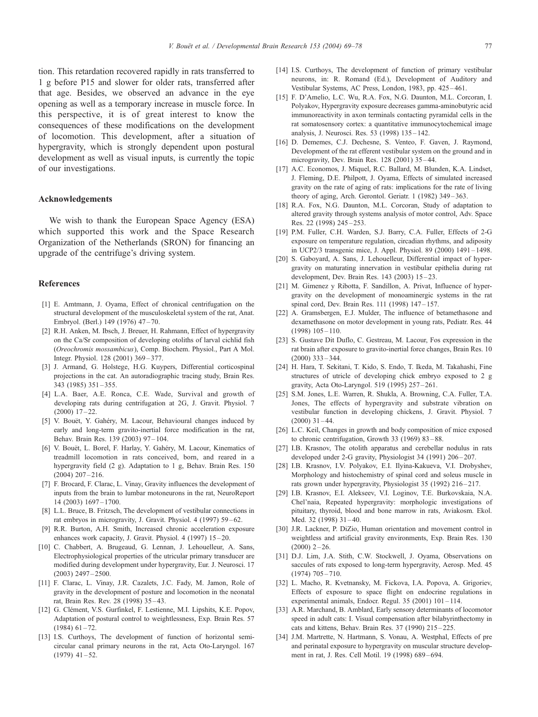<span id="page-8-0"></span>tion. This retardation recovered rapidly in rats transferred to 1 g before P15 and slower for older rats, transferred after that age. Besides, we observed an advance in the eye opening as well as a temporary increase in muscle force. In this perspective, it is of great interest to know the consequences of these modifications on the development of locomotion. This development, after a situation of hypergravity, which is strongly dependent upon postural development as well as visual inputs, is currently the topic of our investigations.

## Acknowledgements

We wish to thank the European Space Agency (ESA) which supported this work and the Space Research Organization of the Netherlands (SRON) for financing an upgrade of the centrifuge's driving system.

#### References

- [1] E. Amtmann, J. Oyama, Effect of chronical centrifugation on the structural development of the musculoskeletal system of the rat, Anat. Embryol. (Berl.) 149 (1976) 47 – 70.
- [2] R.H. Anken, M. Ibsch, J. Breuer, H. Rahmann, Effect of hypergravity on the Ca/Sr composition of developing otoliths of larval cichlid fish (Oreochromis mossambicus), Comp. Biochem. Physiol., Part A Mol. Integr. Physiol. 128 (2001) 369 – 377.
- [3] J. Armand, G. Holstege, H.G. Kuypers, Differential corticospinal projections in the cat. An autoradiographic tracing study, Brain Res. 343 (1985) 351 – 355.
- [4] L.A. Baer, A.E. Ronca, C.E. Wade, Survival and growth of developing rats during centrifugation at 2G, J. Gravit. Physiol. 7  $(2000)$  17 – 22.
- [5] V. Bouët, Y. Gahéry, M. Lacour, Behavioural changes induced by early and long-term gravito-inertial force modification in the rat, Behav. Brain Res. 139 (2003) 97 – 104.
- [6] V. Bouët, L. Borel, F. Harlay, Y. Gahéry, M. Lacour, Kinematics of treadmill locomotion in rats conceived, born, and reared in a hypergravity field (2 g). Adaptation to 1 g, Behav. Brain Res. 150  $(2004)$   $207 - 216$ .
- [7] F. Brocard, F. Clarac, L. Vinay, Gravity influences the development of inputs from the brain to lumbar motoneurons in the rat, NeuroReport 14 (2003) 1697 – 1700.
- [8] L.L. Bruce, B. Fritzsch, The development of vestibular connections in rat embryos in microgravity, J. Gravit. Physiol. 4 (1997) 59 – 62.
- [9] R.R. Burton, A.H. Smith, Increased chronic acceleration exposure enhances work capacity, J. Gravit. Physiol. 4 (1997) 15-20.
- [10] C. Chabbert, A. Brugeaud, G. Lennan, J. Lehouelleur, A. Sans, Electrophysiological properties of the utricular primary transducer are modified during development under hypergravity, Eur. J. Neurosci. 17 (2003) 2497 – 2500.
- [11] F. Clarac, L. Vinay, J.R. Cazalets, J.C. Fady, M. Jamon, Role of gravity in the development of posture and locomotion in the neonatal rat, Brain Res. Rev. 28 (1998) 35 – 43.
- [12] G. Clément, V.S. Gurfinkel, F. Lestienne, M.I. Lipshits, K.E. Popov, Adaptation of postural control to weightlessness, Exp. Brain Res. 57  $(1984)$  61 – 72.
- [13] I.S. Curthoys, The development of function of horizontal semicircular canal primary neurons in the rat, Acta Oto-Laryngol. 167  $(1979)$  41 – 52.
- [14] I.S. Curthoys, The development of function of primary vestibular neurons, in: R. Romand (Ed.), Development of Auditory and Vestibular Systems, AC Press, London, 1983, pp. 425 – 461.
- [15] F. D'Amelio, L.C. Wu, R.A. Fox, N.G. Daunton, M.L. Corcoran, I. Polyakov, Hypergravity exposure decreases gamma-aminobutyric acid immunoreactivity in axon terminals contacting pyramidal cells in the rat somatosensory cortex: a quantitative immunocytochemical image analysis, J. Neurosci. Res. 53 (1998) 135 – 142.
- [16] D. Dememes, C.J. Dechesne, S. Venteo, F. Gaven, J. Raymond, Development of the rat efferent vestibular system on the ground and in microgravity, Dev. Brain Res. 128 (2001) 35 – 44.
- [17] A.C. Economos, J. Miquel, R.C. Ballard, M. Blunden, K.A. Lindset, J. Fleming, D.E. Philpott, J. Oyama, Effects of simulated increased gravity on the rate of aging of rats: implications for the rate of living theory of aging, Arch. Gerontol. Geriatr. 1 (1982) 349-363.
- [18] R.A. Fox, N.G. Daunton, M.L. Corcoran, Study of adaptation to altered gravity through systems analysis of motor control, Adv. Space Res. 22 (1998) 245 – 253.
- [19] P.M. Fuller, C.H. Warden, S.J. Barry, C.A. Fuller, Effects of 2-G exposure on temperature regulation, circadian rhythms, and adiposity in UCP2/3 transgenic mice, J. Appl. Physiol. 89 (2000) 1491 – 1498.
- [20] S. Gaboyard, A. Sans, J. Lehouelleur, Differential impact of hypergravity on maturating innervation in vestibular epithelia during rat development, Dev. Brain Res. 143 (2003) 15 – 23.
- [21] M. Gimenez y Ribotta, F. Sandillon, A. Privat, Influence of hypergravity on the development of monoaminergic systems in the rat spinal cord, Dev. Brain Res. 111 (1998) 147-157.
- [22] A. Gramsbergen, E.J. Mulder, The influence of betamethasone and dexamethasone on motor development in young rats, Pediatr. Res. 44  $(1998)$   $105 - 110$ .
- [23] S. Gustave Dit Duflo, C. Gestreau, M. Lacour, Fos expression in the rat brain after exposure to gravito-inertial force changes, Brain Res. 10  $(2000)$  333 – 344.
- [24] H. Hara, T. Sekitani, T. Kido, S. Endo, T. Ikeda, M. Takahashi, Fine structures of utricle of developing chick embryo exposed to 2 g gravity, Acta Oto-Laryngol. 519 (1995) 257 – 261.
- [25] S.M. Jones, L.E. Warren, R. Shukla, A. Browning, C.A. Fuller, T.A. Jones, The effects of hypergravity and substrate vibration on vestibular function in developing chickens, J. Gravit. Physiol. 7  $(2000)$  31 – 44.
- [26] L.C. Keil, Changes in growth and body composition of mice exposed to chronic centrifugation, Growth 33 (1969) 83-88.
- [27] I.B. Krasnov, The otolith apparatus and cerebellar nodulus in rats developed under 2-G gravity, Physiologist 34 (1991) 206-207.
- [28] I.B. Krasnov, I.V. Polyakov, E.I. Ilyina-Kakueva, V.I. Drobyshev, Morphology and histochemistry of spinal cord and soleus muscle in rats grown under hypergravity, Physiologist 35 (1992) 216 – 217.
- [29] I.B. Krasnov, E.I. Alekseev, V.I. Loginov, T.E. Burkovskaia, N.A. Chel'naia, Repeated hypergravity: morphologic investigations of pituitary, thyroid, blood and bone marrow in rats, Aviakosm. Ekol. Med. 32 (1998) 31-40.
- [30] J.R. Lackner, P. DiZio, Human orientation and movement control in weightless and artificial gravity environments, Exp. Brain Res. 130  $(2000)$  2 – 26
- [31] D.J. Lim, J.A. Stith, C.W. Stockwell, J. Oyama, Observations on saccules of rats exposed to long-term hypergravity, Aerosp. Med. 45 (1974) 705 – 710.
- [32] L. Macho, R. Kvetnansky, M. Fickova, I.A. Popova, A. Grigoriev, Effects of exposure to space flight on endocrine regulations in experimental animals, Endocr. Regul. 35 (2001) 101-114.
- [33] A.R. Marchand, B. Amblard, Early sensory determinants of locomotor speed in adult cats: I. Visual compensation after bilabyrinthectomy in cats and kittens, Behav. Brain Res. 37 (1990) 215 – 225.
- [34] J.M. Martrette, N. Hartmann, S. Vonau, A. Westphal, Effects of pre and perinatal exposure to hypergravity on muscular structure development in rat, J. Res. Cell Motil. 19 (1998) 689 – 694.